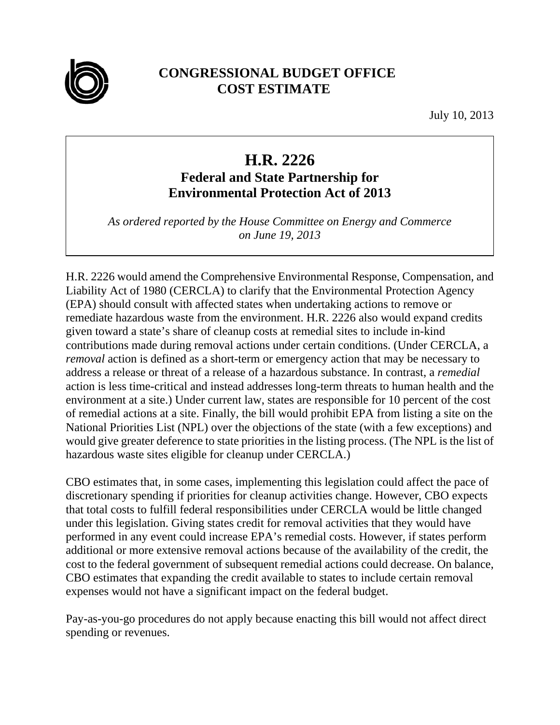

## **CONGRESSIONAL BUDGET OFFICE COST ESTIMATE**

July 10, 2013

## **H.R. 2226**

## **Federal and State Partnership for Environmental Protection Act of 2013**

*As ordered reported by the House Committee on Energy and Commerce on June 19, 2013* 

H.R. 2226 would amend the Comprehensive Environmental Response, Compensation, and Liability Act of 1980 (CERCLA) to clarify that the Environmental Protection Agency (EPA) should consult with affected states when undertaking actions to remove or remediate hazardous waste from the environment. H.R. 2226 also would expand credits given toward a state's share of cleanup costs at remedial sites to include in-kind contributions made during removal actions under certain conditions. (Under CERCLA, a *removal* action is defined as a short-term or emergency action that may be necessary to address a release or threat of a release of a hazardous substance. In contrast, a *remedial* action is less time-critical and instead addresses long-term threats to human health and the environment at a site.) Under current law, states are responsible for 10 percent of the cost of remedial actions at a site. Finally, the bill would prohibit EPA from listing a site on the National Priorities List (NPL) over the objections of the state (with a few exceptions) and would give greater deference to state priorities in the listing process. (The NPL is the list of hazardous waste sites eligible for cleanup under CERCLA.)

CBO estimates that, in some cases, implementing this legislation could affect the pace of discretionary spending if priorities for cleanup activities change. However, CBO expects that total costs to fulfill federal responsibilities under CERCLA would be little changed under this legislation. Giving states credit for removal activities that they would have performed in any event could increase EPA's remedial costs. However, if states perform additional or more extensive removal actions because of the availability of the credit, the cost to the federal government of subsequent remedial actions could decrease. On balance, CBO estimates that expanding the credit available to states to include certain removal expenses would not have a significant impact on the federal budget.

Pay-as-you-go procedures do not apply because enacting this bill would not affect direct spending or revenues.